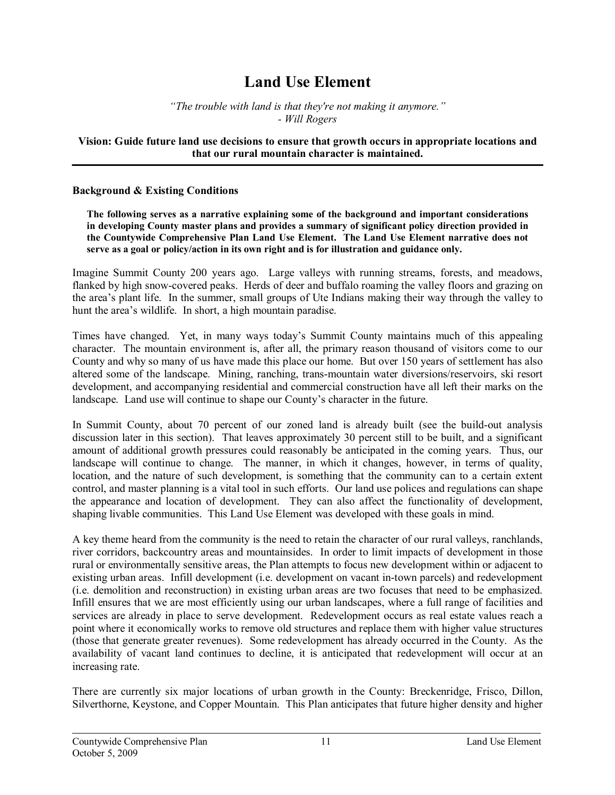# **Land Use Element**

*"The trouble with land is that they're not making it anymore." Will Rogers*

## **Vision: Guide future land use decisions to ensure that growth occurs in appropriate locations and that our rural mountain character is maintained.**

#### **Background & Existing Conditions**

**The following serves as a narrative explaining some of the background and important considerations in developing County master plans and provides a summary of significant policy direction provided in the Countywide Comprehensive Plan Land Use Element. The Land Use Element narrative does not serve as a goal or policy/action in its own right and is for illustration and guidance only.**

Imagine Summit County 200 vears ago. Large valleys with running streams, forests, and meadows, flanked by high snowcovered peaks. Herds of deer and buffalo roaming the valley floors and grazing on the area's plant life. In the summer, small groups of Ute Indians making their way through the valley to hunt the area's wildlife. In short, a high mountain paradise.

Times have changed. Yet, in many ways today's Summit County maintains much of this appealing character. The mountain environment is, after all, the primary reason thousand of visitors come to our County and why so many of us have made this place our home. But over 150 years of settlement has also altered some of the landscape. Mining, ranching, trans-mountain water diversions/reservoirs, ski resort development, and accompanying residential and commercial construction have all left their marks on the landscape. Land use will continue to shape our County's character in the future.

In Summit County, about 70 percent of our zoned land is already built (see the build-out analysis discussion later in this section). That leaves approximately 30 percent still to be built, and a significant amount of additional growth pressures could reasonably be anticipated in the coming years. Thus, our landscape will continue to change. The manner, in which it changes, however, in terms of quality, location, and the nature of such development, is something that the community can to a certain extent control, and master planning is a vital tool in such efforts. Our land use polices and regulations can shape the appearance and location of development. They can also affect the functionality of development, shaping livable communities. This Land Use Element was developed with these goals in mind.

A key theme heard from the community is the need to retain the character of our rural valleys, ranchlands, river corridors, backcountry areas and mountainsides. In order to limit impacts of development in those rural or environmentally sensitive areas, the Plan attempts to focus new development within or adjacent to existing urban areas. Infill development (i.e. development on vacant in-town parcels) and redevelopment (i.e. demolition and reconstruction) in existing urban areas are two focuses that need to be emphasized. Infill ensures that we are most efficiently using our urban landscapes, where a full range of facilities and services are already in place to serve development. Redevelopment occurs as real estate values reach a point where it economically works to remove old structures and replace them with higher value structures (those that generate greater revenues). Some redevelopment has already occurred in the County. As the availability of vacant land continues to decline, it is anticipated that redevelopment will occur at an increasing rate.

There are currently six major locations of urban growth in the County: Breckenridge, Frisco, Dillon, Silverthorne, Keystone, and Copper Mountain. This Plan anticipates that future higher density and higher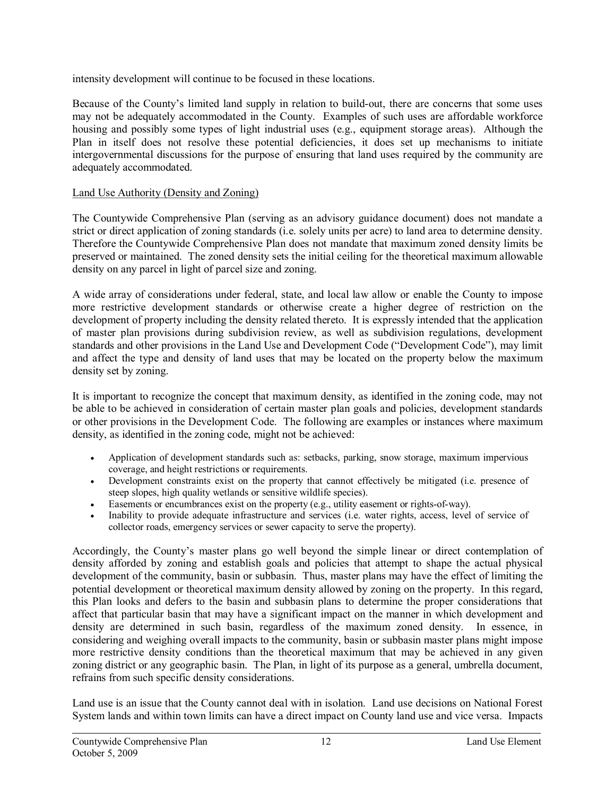intensity development will continue to be focused in these locations.

Because of the County's limited land supply in relation to build-out, there are concerns that some uses may not be adequately accommodated in the County. Examples of such uses are affordable workforce housing and possibly some types of light industrial uses (e.g., equipment storage areas). Although the Plan in itself does not resolve these potential deficiencies, it does set up mechanisms to initiate intergovernmental discussions for the purpose of ensuring that land uses required by the community are adequately accommodated.

# Land Use Authority (Density and Zoning)

The Countywide Comprehensive Plan (serving as an advisory guidance document) does not mandate a strict or direct application of zoning standards (i.e. solely units per acre) to land area to determine density. Therefore the Countywide Comprehensive Plan does not mandate that maximum zoned density limits be preserved or maintained. The zoned density sets the initial ceiling for the theoretical maximum allowable density on any parcel in light of parcel size and zoning.

A wide array of considerations under federal, state, and local law allow or enable the County to impose more restrictive development standards or otherwise create a higher degree of restriction on the development of property including the density related thereto. It is expressly intended that the application of master plan provisions during subdivision review, as well as subdivision regulations, development standards and other provisions in the Land Use and Development Code ("Development Code"), may limit and affect the type and density of land uses that may be located on the property below the maximum density set by zoning.

It is important to recognize the concept that maximum density, as identified in the zoning code, may not be able to be achieved in consideration of certain master plan goals and policies, development standards or other provisions in the Development Code. The following are examples or instances where maximum density, as identified in the zoning code, might not be achieved:

- · Application of development standards such as: setbacks, parking, snow storage, maximum impervious coverage, and height restrictions or requirements.
- · Development constraints exist on the property that cannot effectively be mitigated (i.e. presence of steep slopes, high quality wetlands or sensitive wildlife species).
- Easements or encumbrances exist on the property (e.g., utility easement or rights-of-way).
- Inability to provide adequate infrastructure and services (i.e. water rights, access, level of service of collector roads, emergency services or sewer capacity to serve the property).

Accordingly, the County's master plans go well beyond the simple linear or direct contemplation of density afforded by zoning and establish goals and policies that attempt to shape the actual physical development of the community, basin or subbasin. Thus, master plans may have the effect of limiting the potential development or theoretical maximum density allowed by zoning on the property. In this regard, this Plan looks and defers to the basin and subbasin plans to determine the proper considerations that affect that particular basin that may have a significant impact on the manner in which development and density are determined in such basin, regardless of the maximum zoned density. In essence, in considering and weighing overall impacts to the community, basin or subbasin master plans might impose more restrictive density conditions than the theoretical maximum that may be achieved in any given zoning district or any geographic basin. The Plan, in light of its purpose as a general, umbrella document, refrains from such specific density considerations.

Land use is an issue that the County cannot deal with in isolation. Land use decisions on National Forest System lands and within town limits can have a direct impact on County land use and vice versa. Impacts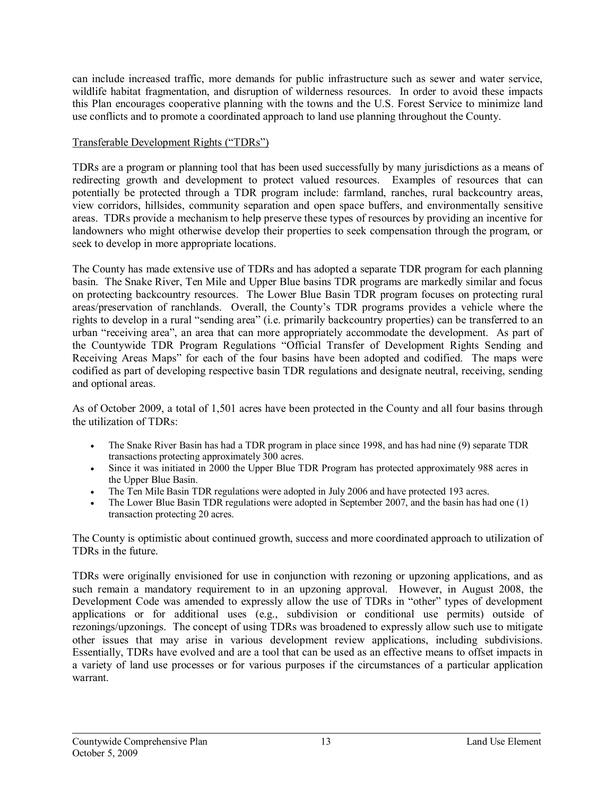can include increased traffic, more demands for public infrastructure such as sewer and water service, wildlife habitat fragmentation, and disruption of wilderness resources. In order to avoid these impacts this Plan encourages cooperative planning with the towns and the U.S. Forest Service to minimize land use conflicts and to promote a coordinated approach to land use planning throughout the County.

# Transferable Development Rights ("TDRs")

TDRs are a program or planning tool that has been used successfully by many jurisdictions as a means of redirecting growth and development to protect valued resources. Examples of resources that can potentially be protected through a TDR program include: farmland, ranches, rural backcountry areas, view corridors, hillsides, community separation and open space buffers, and environmentally sensitive areas. TDRs provide a mechanism to help preserve these types of resources by providing an incentive for landowners who might otherwise develop their properties to seek compensation through the program, or seek to develop in more appropriate locations.

The County has made extensive use of TDRs and has adopted a separate TDR program foreach planning basin. The Snake River, Ten Mile and Upper Blue basins TDR programs are markedly similar and focus on protecting backcountry resources. The Lower Blue Basin TDR program focuses on protecting rural areas/preservation of ranchlands. Overall, the County's TDR programs provides a vehicle where the rights to develop in a rural "sending area" (i.e. primarily backcountry properties) can be transferred to an urban "receiving area", an area that can more appropriately accommodate the development. As part of the Countywide TDR Program Regulations "Official Transfer of Development Rights Sending and Receiving Areas Maps" for each of the four basins have been adopted and codified. The maps were codified as part of developing respective basin TDR regulations and designate neutral, receiving, sending and optional areas.

As of October 2009, a total of 1,501 acres have been protected in the County and all four basins through the utilization of TDRs:

- · The Snake River Basin has had a TDR program in place since 1998, and has had nine (9) separate TDR transactions protecting approximately 300 acres.
- · Since it was initiated in 2000 the Upper Blue TDR Program has protected approximately 988 acres in the Upper Blue Basin.
- The Ten Mile Basin TDR regulations were adopted in July 2006 and have protected 193 acres.
- The Lower Blue Basin TDR regulations were adopted in September 2007, and the basin has had one (1) transaction protecting 20 acres.

The County is optimistic about continued growth, success and more coordinated approach to utilization of TDRs in the future.

TDRs were originally envisioned for use in conjunction with rezoning or upzoning applications, and as such remain a mandatory requirement to in an upzoning approval. However, in August 2008, the Development Code was amended to expressly allow the use of TDRs in "other" types of development applications or for additional uses (e.g., subdivision or conditional use permits) outside of rezonings/upzonings. The concept of using TDRs was broadened to expressly allow such use to mitigate other issues that may arise in various development review applications, including subdivisions. Essentially, TDRs have evolved and are a tool that can be used as an effective means to offset impacts in a variety of land use processes or for various purposes if the circumstances of a particular application warrant.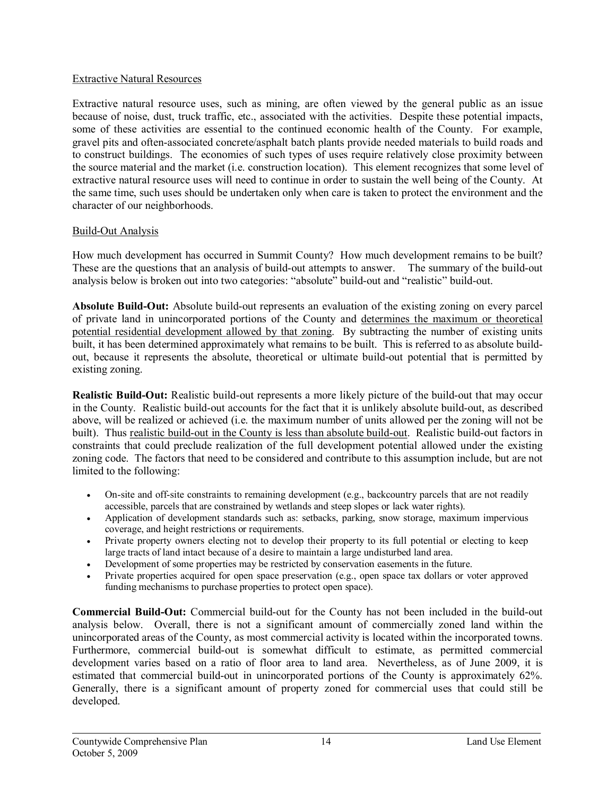# Extractive Natural Resources

Extractive natural resource uses, such as mining, are often viewed by the general public as an issue because of noise, dust, truck traffic, etc., associated with the activities. Despite these potential impacts, some of these activities are essential to the continued economic health of the County. For example, gravel pits and often-associated concrete/asphalt batch plants provide needed materials to build roads and to construct buildings. The economies of such types of uses require relatively close proximity between the source material and the market (i.e. construction location). This element recognizes that some level of extractive natural resource uses will need to continue in order to sustain the well being of the County. At the same time, such uses should be undertaken only when care is taken to protect the environment and the character of our neighborhoods.

# Build-Out Analysis

How much development has occurred in Summit County? How much development remains to be built? These are the questions that an analysis of build-out attempts to answer. The summary of the build-out analysis below is broken out into two categories: "absolute" build-out and "realistic" build-out.

**Absolute Build-Out:** Absolute build-out represents an evaluation of the existing zoning on every parcel of private land in unincorporated portions of the County and determines the maximum or theoretical potential residential development allowed by that zoning. By subtracting the number of existing units built, it has been determined approximately what remains to be built. This is referred to as absolute buildout, because it represents the absolute, theoretical or ultimate build-out potential that is permitted by existing zoning.

**Realistic Build-Out:** Realistic build-out represents a more likely picture of the build-out that may occur in the County. Realistic build-out accounts for the fact that it is unlikely absolute build-out, as described above, will be realized or achieved (i.e. the maximum number of units allowed per the zoning will not be built). Thus realistic build-out in the County is less than absolute build-out. Realistic build-out factors in constraints that could preclude realization of the full development potential allowed under the existing zoning code. The factors that need to be considered and contribute to this assumption include, but are not limited to the following:

- On-site and off-site constraints to remaining development (e.g., backcountry parcels that are not readily accessible, parcels that are constrained by wetlands and steep slopes or lack water rights).
- · Application of development standards such as: setbacks, parking, snow storage, maximum impervious coverage, and height restrictions or requirements.
- Private property owners electing not to develop their property to its full potential or electing to keep large tracts of land intact because of a desire to maintain a large undisturbed land area.
- Development of some properties may be restricted by conservation easements in the future.
- Private properties acquired for open space preservation (e.g., open space tax dollars or voter approved funding mechanisms to purchase properties to protect open space).

**Commercial Build-Out:** Commercial build-out for the County has not been included in the build-out analysis below. Overall, there is not a significant amount of commercially zoned land within the unincorporated areas of the County, as most commercial activity is located within the incorporated towns. Furthermore, commercial build-out is somewhat difficult to estimate, as permitted commercial development varies based on a ratio of floor area to land area. Nevertheless, as of June 2009, it is estimated that commercial build-out in unincorporated portions of the County is approximately  $62\%$ . Generally, there is a significant amount of property zoned for commercial uses that could still be developed.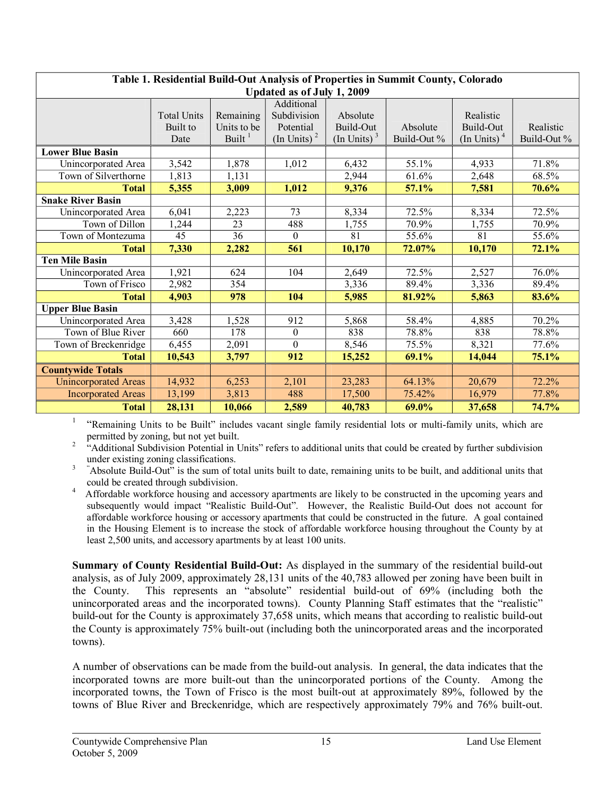| Table 1. Residential Build-Out Analysis of Properties in Summit County, Colorado |                    |             |                           |                           |             |                           |             |  |
|----------------------------------------------------------------------------------|--------------------|-------------|---------------------------|---------------------------|-------------|---------------------------|-------------|--|
| Updated as of July 1, 2009                                                       |                    |             |                           |                           |             |                           |             |  |
|                                                                                  |                    |             | Additional                |                           |             |                           |             |  |
|                                                                                  | <b>Total Units</b> | Remaining   | Subdivision               | Absolute                  |             | Realistic                 |             |  |
|                                                                                  | Built to           | Units to be | Potential                 | Build-Out                 | Absolute    | Build-Out                 | Realistic   |  |
|                                                                                  | Date               | Built $1$   | $(In$ Units) <sup>2</sup> | $(In$ Units) <sup>3</sup> | Build-Out % | $(In$ Units) <sup>4</sup> | Build-Out % |  |
| <b>Lower Blue Basin</b>                                                          |                    |             |                           |                           |             |                           |             |  |
| Unincorporated Area                                                              | 3,542              | 1,878       | 1,012                     | 6,432                     | 55.1%       | 4,933                     | 71.8%       |  |
| Town of Silverthorne                                                             | 1,813              | 1,131       |                           | 2,944                     | 61.6%       | 2,648                     | 68.5%       |  |
| <b>Total</b>                                                                     | 5,355              | 3,009       | 1,012                     | 9,376                     | 57.1%       | 7,581                     | 70.6%       |  |
| <b>Snake River Basin</b>                                                         |                    |             |                           |                           |             |                           |             |  |
| Unincorporated Area                                                              | 6,041              | 2,223       | 73                        | 8,334                     | 72.5%       | 8,334                     | 72.5%       |  |
| Town of Dillon                                                                   | 1,244              | 23          | 488                       | 1,755                     | 70.9%       | 1,755                     | 70.9%       |  |
| Town of Montezuma                                                                | $\overline{45}$    | 36          | $\Omega$                  | 81                        | 55.6%       | 81                        | 55.6%       |  |
| <b>Total</b>                                                                     | 7,330              | 2,282       | 561                       | 10,170                    | 72.07%      | 10,170                    | 72.1%       |  |
| <b>Ten Mile Basin</b>                                                            |                    |             |                           |                           |             |                           |             |  |
| Unincorporated Area                                                              | 1,921              | 624         | 104                       | 2,649                     | 72.5%       | 2,527                     | 76.0%       |  |
| Town of Frisco                                                                   | 2,982              | 354         |                           | 3,336                     | 89.4%       | 3,336                     | 89.4%       |  |
| <b>Total</b>                                                                     | 4,903              | 978         | 104                       | 5,985                     | 81.92%      | 5,863                     | 83.6%       |  |
| <b>Upper Blue Basin</b>                                                          |                    |             |                           |                           |             |                           |             |  |
| Unincorporated Area                                                              | 3,428              | 1,528       | 912                       | 5,868                     | 58.4%       | 4,885                     | 70.2%       |  |
| Town of Blue River                                                               | 660                | 178         | $\theta$                  | 838                       | 78.8%       | 838                       | 78.8%       |  |
| Town of Breckenridge                                                             | 6,455              | 2,091       | $\Omega$                  | 8,546                     | 75.5%       | 8,321                     | 77.6%       |  |
| <b>Total</b>                                                                     | 10,543             | 3,797       | 912                       | 15,252                    | 69.1%       | 14,044                    | 75.1%       |  |
| <b>Countywide Totals</b>                                                         |                    |             |                           |                           |             |                           |             |  |
| <b>Unincorporated Areas</b>                                                      | 14,932             | 6,253       | 2,101                     | 23,283                    | 64.13%      | 20,679                    | 72.2%       |  |
| <b>Incorporated Areas</b>                                                        | 13,199             | 3,813       | 488                       | 17,500                    | 75.42%      | 16,979                    | 77.8%       |  |
| <b>Total</b>                                                                     | 28,131             | 10,066      | 2,589                     | 40,783                    | 69.0%       | 37,658                    | 74.7%       |  |

<sup>1</sup> "Remaining Units to be Built" includes vacant single family residential lots or multi-family units, which are permitted by zoning, but not yet built.

<sup>2</sup> "Additional Subdivision Potential in Units" refers to additional units that could be created by further subdivision

under existing zoning classifications.<br><sup>3</sup> "Absolute Build-Out" is the sum of total units built to date, remaining units to be built, and additional units that could be created through subdivision.

Affordable workforce housing and accessory apartments are likely to be constructed in the upcoming years and subsequently would impact "Realistic Build-Out". However, the Realistic Build-Out does not account for affordable workforce housing or accessory apartments that could be constructed in the future. A goal contained in the Housing Element is to increase the stock of affordable workforce housing throughout the County by at least 2,500 units, and accessory apartments by at least 100 units.

**Summary of County Residential Build-Out:** As displayed in the summary of the residential build-out analysis, as of July 2009, approximately 28,131 units of the 40,783 allowed per zoning have been built in the County. This represents an "absolute" residential build-out of 69% (including both the unincorporated areas and the incorporated towns). County Planning Staff estimates that the "realistic" build-out for the County is approximately 37,658 units, which means that according to realistic build-out the County is approximately 75% built-out (including both the unincorporated areas and the incorporated towns).

A number of observations can be made from the build-out analysis. In general, the data indicates that the incorporated towns are more built-out than the unincorporated portions of the County. Among the incorporated towns, the Town of Frisco is the most built-out at approximately 89%, followed by the towns of Blue River and Breckenridge, which are respectively approximately 79% and 76% built-out.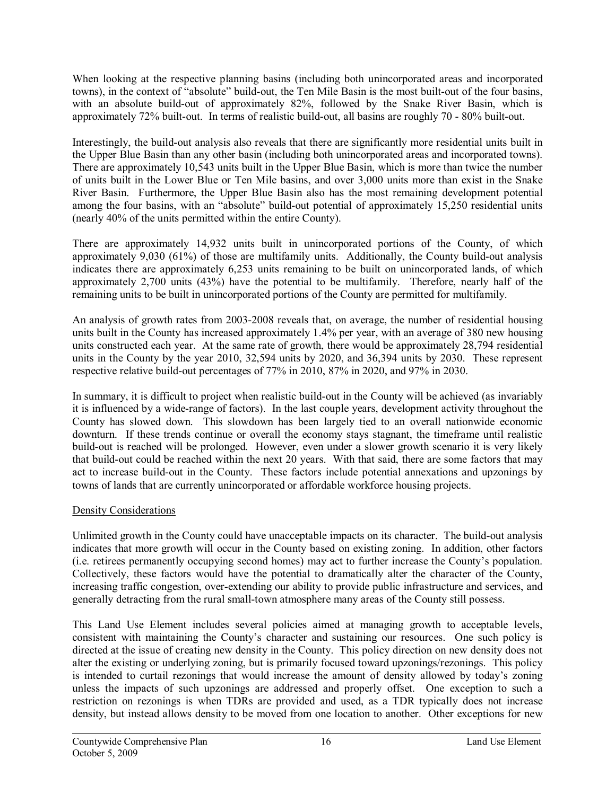When looking at the respective planning basins (including both unincorporated areas and incorporated towns), in the context of "absolute" build-out, the Ten Mile Basin is the most built-out of the four basins, with an absolute build-out of approximately 82%, followed by the Snake River Basin, which is approximately  $72\%$  built-out. In terms of realistic build-out, all basins are roughly  $70 - 80\%$  built-out.

Interestingly, the build-out analysis also reveals that there are significantly more residential units built in the Upper Blue Basin than any other basin (including both unincorporated areas and incorporated towns). There are approximately 10,543 units built in the Upper Blue Basin, which is more than twice the number of units built in the Lower Blue or Ten Mile basins, and over 3,000 units more than exist in the Snake River Basin. Furthermore, the Upper Blue Basin also has the most remaining development potential among the four basins, with an "absolute" build-out potential of approximately 15,250 residential units (nearly 40% of the units permitted within the entire County).

There are approximately 14,932 units built in unincorporated portions of the County, of which approximately 9,030 (61%) of those are multifamily units. Additionally, the County build-out analysis indicates there are approximately 6,253 units remaining to be built on unincorporated lands, of which approximately 2,700 units (43%) have the potential to be multifamily. Therefore, nearly half of the remaining units to be built in unincorporated portions of the County are permitted for multifamily.

An analysis of growth rates from 2003-2008 reveals that, on average, the number of residential housing units built in the County has increased approximately 1.4% per year, with an average of 380 new housing units constructed each year. At the same rate of growth, there would be approximately 28,794 residential units in the County by the year 2010, 32,594 units by 2020, and 36,394 units by 2030. These represent respective relative build-out percentages of  $77\%$  in 2010,  $87\%$  in 2020, and 97% in 2030.

In summary, it is difficult to project when realistic build-out in the County will be achieved (as invariably it is influenced by a wide-range of factors). In the last couple years, development activity throughout the County has slowed down. This slowdown has been largely tied to an overall nationwide economic downturn. If these trends continue or overall the economy stays stagnant, the timeframe until realistic build-out is reached will be prolonged. However, even under a slower growth scenario it is very likely that build-out could be reached within the next 20 years. With that said, there are some factors that may act to increase build-out in the County. These factors include potential annexations and upzonings by towns of lands that are currently unincorporated or affordable workforce housing projects.

# Density Considerations

Unlimited growth in the County could have unacceptable impacts on its character. The build-out analysis indicates that more growth will occur in the County based on existing zoning. In addition, other factors (i.e. retirees permanently occupying second homes) may act to further increase the County's population. Collectively, these factors would have the potential to dramatically alter the character of the County, increasing traffic congestion, over-extending our ability to provide public infrastructure and services, and generally detracting from the rural small-town atmosphere many areas of the County still possess.

This Land Use Element includes several policies aimed at managing growth to acceptable levels, consistent with maintaining the County's character and sustaining our resources. One such policy is directed at the issue of creating new density in the County. This policy direction on new density does not alter the existing or underlying zoning, but is primarily focused toward upzonings/rezonings. This policy is intended to curtail rezonings that would increase the amount of density allowed by today's zoning unless the impacts of such upzonings are addressed and properly offset. One exception to such a restriction on rezonings is when TDRs are provided and used, as a TDR typically does not increase density, but instead allows density to be moved from one location to another. Other exceptions for new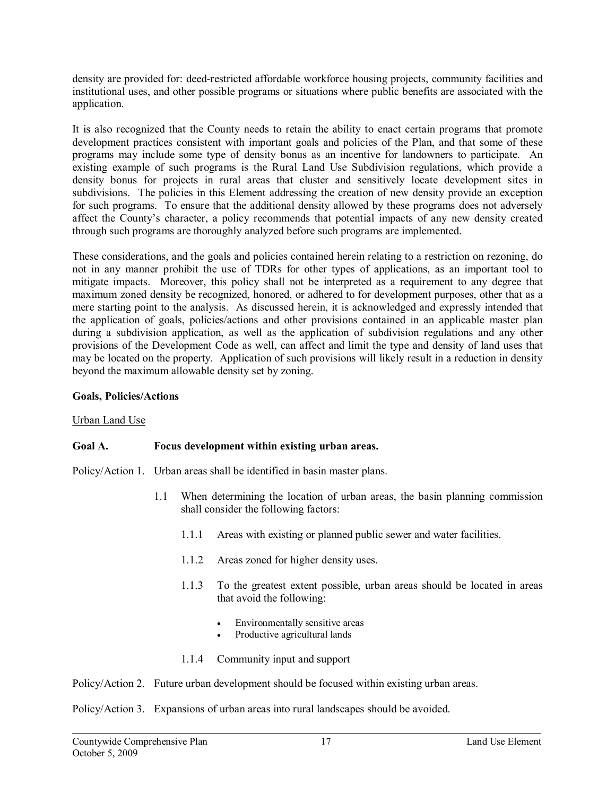density are provided for: deedrestricted affordable workforce housing projects, community facilities and institutional uses, and other possible programs or situations where public benefits are associated with the application.

It is also recognized that the County needs to retain the ability to enact certain programs that promote development practices consistent with important goals and policies of the Plan, and that some of these programs may include some type of density bonus as an incentive for landowners to participate. An existing example of such programs is the Rural Land Use Subdivision regulations, which provide a density bonus for projects in rural areas that cluster and sensitively locate development sites in subdivisions. The policies in this Element addressing the creation of new density provide an exception for such programs. To ensure that the additional density allowed by these programs does not adversely affect the County's character, a policy recommends that potential impacts of any new density created through such programs are thoroughly analyzed before such programs are implemented.

These considerations, and the goals and policies contained herein relating to a restriction on rezoning, do not in any manner prohibit the use of TDRs for other types of applications, as an important tool to mitigate impacts. Moreover, this policy shall not be interpreted as a requirement to any degree that maximum zoned density be recognized, honored, or adhered to for development purposes, other that as a mere starting point to the analysis. As discussed herein, it is acknowledged and expressly intended that the application of goals, policies/actions and other provisions contained in an applicable master plan during a subdivision application, as well as the application of subdivision regulations and any other provisions of the Development Code as well, can affect and limit the type and density of land uses that may be located on the property. Application of such provisions will likely result in a reduction in density beyond the maximum allowable density set by zoning.

# **Goals, Policies/Actions**

## Urban Land Use

# **Goal A. Focus development within existing urban areas.**

Policy/Action 1. Urban areas shall be identified in basin master plans.

- 1.1 When determining the location of urban areas, the basin planning commission shall consider the following factors:
	- 1.1.1 Areas with existing or planned public sewer and water facilities.
	- 1.1.2 Areas zoned for higher density uses.
	- 1.1.3 To the greatest extent possible, urban areas should be located in areas that avoid the following:
		- · Environmentally sensitive areas
		- Productive agricultural lands
	- 1.1.4 Community input and support

Policy/Action 2. Future urban development should be focused within existing urban areas.

Policy/Action 3. Expansions of urban areas into rural landscapes should be avoided.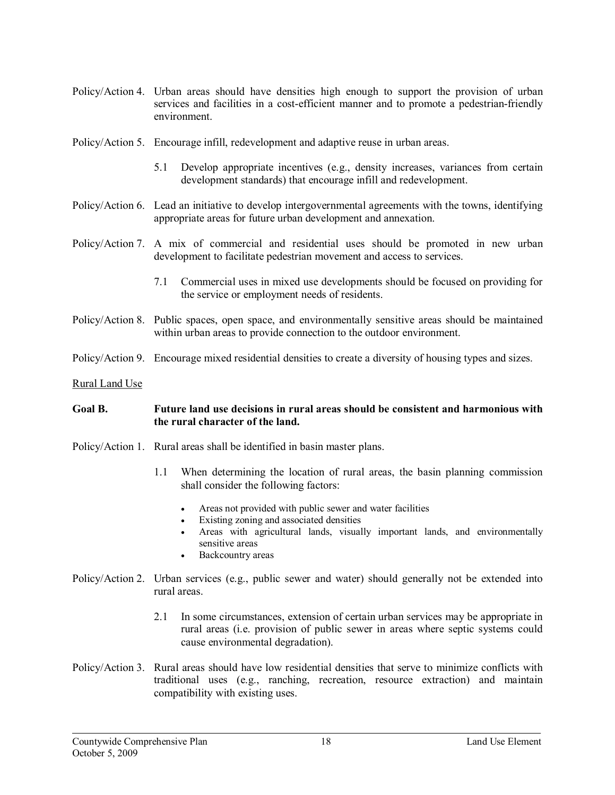- Policy/Action 4. Urban areas should have densities high enough to support the provision of urban services and facilities in a cost-efficient manner and to promote a pedestrian-friendly environment.
- Policy/Action 5. Encourage infill, redevelopment and adaptive reuse in urban areas.
	- 5.1 Develop appropriate incentives (e.g., density increases, variances from certain development standards) that encourage infill and redevelopment.
- Policy/Action 6. Lead an initiative to develop intergovernmental agreements with the towns, identifying appropriate areas for future urban development and annexation.
- Policy/Action 7. A mix of commercial and residential uses should be promoted in new urban development to facilitate pedestrian movement and access to services.
	- 7.1 Commercial uses in mixed use developments should be focused on providing for the service or employment needs of residents.
- Policy/Action 8. Public spaces, open space, and environmentally sensitive areas should be maintained within urban areas to provide connection to the outdoor environment.
- Policy/Action 9. Encourage mixed residential densities to create a diversity of housing types and sizes.
- Rural Land Use

## **Goal B. Future land use decisions in rural areas should be consistent and harmonious with the rural character of the land.**

- Policy/Action 1. Rural areas shall be identified in basin master plans.
	- 1.1 When determining the location of rural areas, the basin planning commission shall consider the following factors:
		- Areas not provided with public sewer and water facilities
		- Existing zoning and associated densities
		- · Areas with agricultural lands, visually important lands, and environmentally sensitive areas
		- · Backcountry areas
- Policy/Action 2. Urban services (e.g., public sewer and water) should generally not be extended into rural areas.
	- 2.1 In some circumstances, extension of certain urban services may be appropriate in rural areas (i.e. provision of public sewer in areas where septic systems could cause environmental degradation).
- Policy/Action 3. Rural areas should have low residential densities that serve to minimize conflicts with traditional uses (e.g., ranching, recreation, resource extraction) and maintain compatibility with existing uses.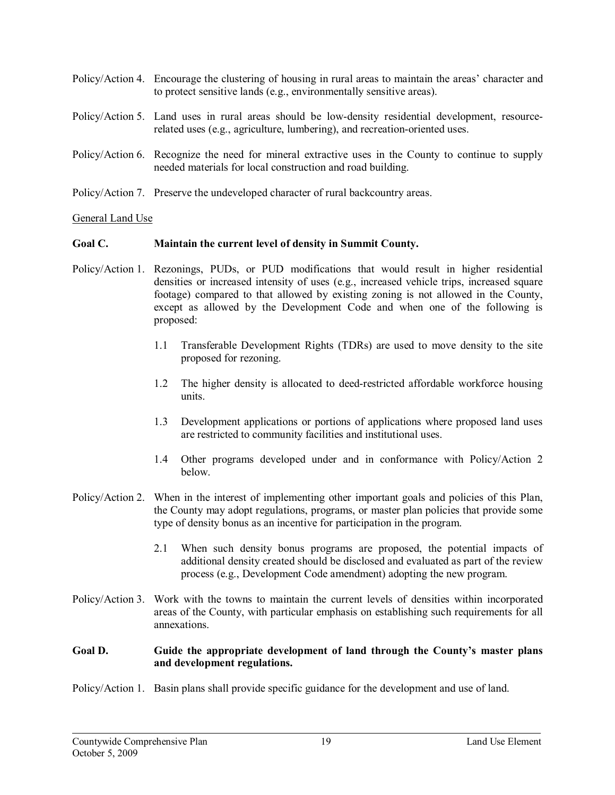| Policy/Action 4. Encourage the clustering of housing in rural areas to maintain the areas' character and<br>to protect sensitive lands (e.g., environmentally sensitive areas).  |
|----------------------------------------------------------------------------------------------------------------------------------------------------------------------------------|
| Policy/Action 5. Land uses in rural areas should be low-density residential development, resource-<br>related uses (e.g., agriculture, lumbering), and recreation-oriented uses. |
| Policy/Action 6. Recognize the need for mineral extractive uses in the County to continue to supply<br>needed materials for local construction and road building.                |
| Policy/Action 7. Preserve the undeveloped character of rural backcountry areas.                                                                                                  |

# General Land Use

## **Goal C. Maintain the current level of density in Summit County.**

- Policy/Action 1. Rezonings, PUDs, or PUD modifications that would result in higher residential densities or increased intensity of uses (e.g., increased vehicle trips, increased square footage) compared to that allowed by existing zoning is not allowed in the County, except as allowed by the Development Code and when one of the following is proposed:
	- 1.1 Transferable Development Rights (TDRs) are used to move density to the site proposed for rezoning.
	- 1.2 The higher density is allocated to deedrestricted affordable workforce housing units.
	- 1.3 Development applications or portions of applications where proposed land uses are restricted to community facilities and institutional uses.
	- 1.4 Other programs developed under and in conformance with Policy/Action 2 below.
- Policy/Action 2. When in the interest of implementing other important goals and policies of this Plan, the County may adopt regulations, programs, or master plan policies that provide some type of density bonus as an incentive for participation in the program.
	- 2.1 When such density bonus programs are proposed, the potential impacts of additional density created should be disclosed and evaluated as part of the review process (e.g., Development Code amendment) adopting the new program.
- Policy/Action 3. Work with the towns to maintain the current levels of densities within incorporated areas of the County, with particular emphasis on establishing such requirements for all annexations.

## **Goal D. Guide the appropriate development of land through the County's master plans and development regulations.**

Policy/Action 1. Basin plans shall provide specific guidance for the development and use of land.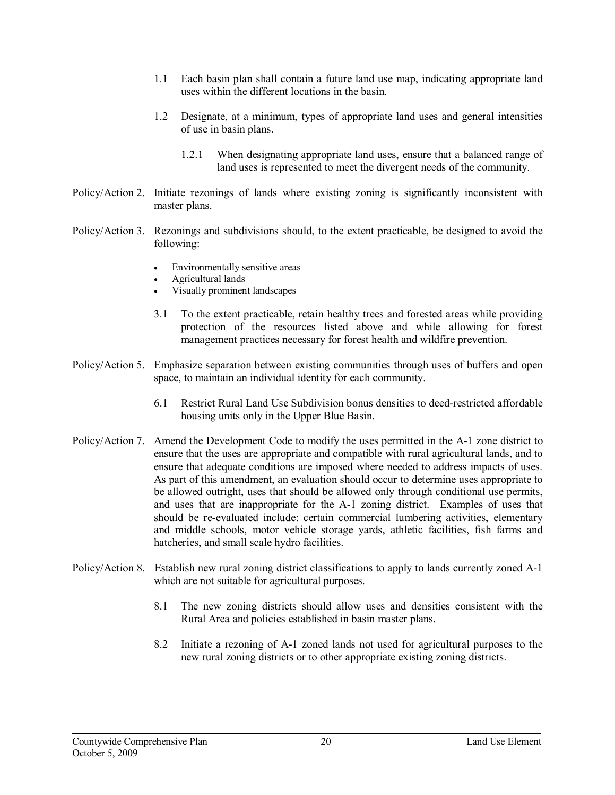- 1.1 Each basin plan shall contain a future land use map, indicating appropriate land uses within the different locations in the basin.
- 1.2 Designate, at a minimum, types of appropriate land uses and general intensities of use in basin plans.
	- 1.2.1 When designating appropriate land uses, ensure that a balanced range of land uses is represented to meet the divergent needs of the community.
- Policy/Action 2. Initiate rezonings of lands where existing zoning is significantly inconsistent with master plans.
- Policy/Action 3. Rezonings and subdivisions should, to the extent practicable, be designed to avoid the following:
	- Environmentally sensitive areas
	- · Agricultural lands
	- Visually prominent landscapes
	- 3.1 To the extent practicable, retain healthy trees and forested areas while providing protection of the resources listed above and while allowing for forest management practices necessary for forest health and wildfire prevention.
- Policy/Action 5. Emphasize separation between existing communities through uses of buffers and open space, to maintain an individual identity for each community.
	- 6.1 Restrict Rural Land Use Subdivision bonus densities to deedrestricted affordable housing units only in the Upper Blue Basin.
- Policy/Action 7. Amend the Development Code to modify the uses permitted in the A-1 zone district to ensure that the uses are appropriate and compatible with rural agricultural lands, and to ensure that adequate conditions are imposed where needed to address impacts of uses. As part of this amendment, an evaluation should occur to determine uses appropriate to be allowed outright, uses that should be allowed only through conditional use permits, and uses that are inappropriate for the A-1 zoning district. Examples of uses that should be re-evaluated include: certain commercial lumbering activities, elementary and middle schools, motor vehicle storage yards, athletic facilities, fish farms and hatcheries, and small scale hydro facilities.
- Policy/Action 8. Establish new rural zoning district classifications to apply to lands currently zoned A-1 which are not suitable for agricultural purposes.
	- 8.1 The new zoning districts should allow uses and densities consistent with the Rural Area and policies established in basin master plans.
	- 8.2 Initiate a rezoning of A1 zoned lands not used for agricultural purposes to the new rural zoning districts or to other appropriate existing zoning districts.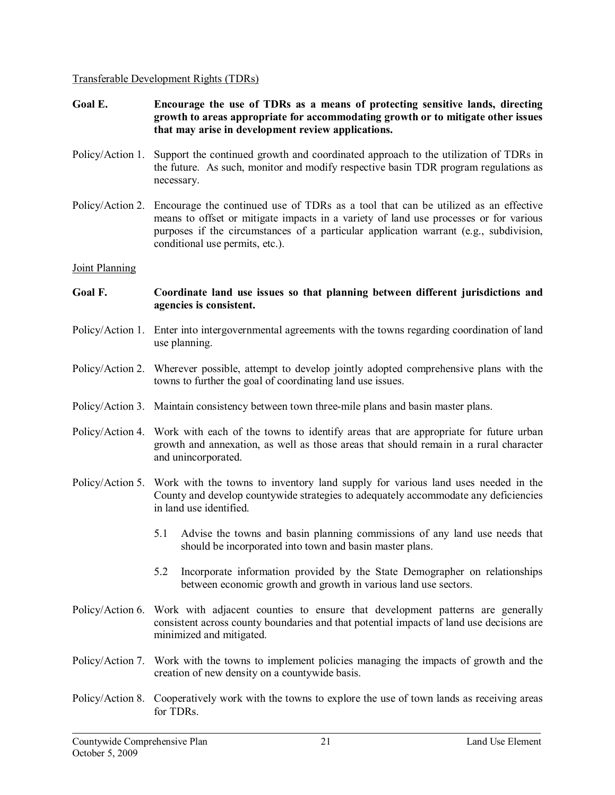Transferable Development Rights (TDRs)

- **Goal E. Encourage the use of TDRs as a means of protecting sensitive lands, directing growth to areas appropriate for accommodating growth or to mitigate other issues that may arise in development review applications.**
- Policy/Action 1. Support the continued growth and coordinated approach to the utilization of TDRs in the future. As such, monitor and modify respective basin TDR program regulations as necessary.
- Policy/Action 2. Encourage the continued use of TDRs as a tool that can be utilized as an effective means to offset or mitigate impacts in a variety of land use processes or for various purposes if the circumstances of a particular application warrant (e.g., subdivision, conditional use permits, etc.).

## Joint Planning

#### **Goal F. Coordinate land use issues so that planning between different jurisdictions and agencies is consistent.**

- Policy/Action 1. Enter into intergovernmental agreements with the towns regarding coordination of land use planning.
- Policy/Action 2. Wherever possible, attempt to develop jointly adopted comprehensive plans with the towns to further the goal of coordinating land use issues.
- Policy/Action 3. Maintain consistency between town three-mile plans and basin master plans.
- Policy/Action 4. Work with each of the towns to identify areas that are appropriate for future urban growth and annexation, as well as those areas that should remain in a rural character and unincorporated.
- Policy/Action 5. Work with the towns to inventory land supply for various land uses needed in the County and develop countywide strategies to adequately accommodate any deficiencies in land use identified.
	- 5.1 Advise the towns and basin planning commissions of any land use needs that should be incorporated into town and basin master plans.
	- 5.2 Incorporate information provided by the State Demographer on relationships between economic growth and growth in various land use sectors.
- Policy/Action 6. Work with adjacent counties to ensure that development patterns are generally consistent across county boundaries and that potential impacts of land use decisions are minimized and mitigated.
- Policy/Action 7. Work with the towns to implement policies managing the impacts of growth and the creation of new density on a countywide basis.
- Policy/Action 8. Cooperatively work with the towns to explore the use of town lands as receiving areas for TDRs.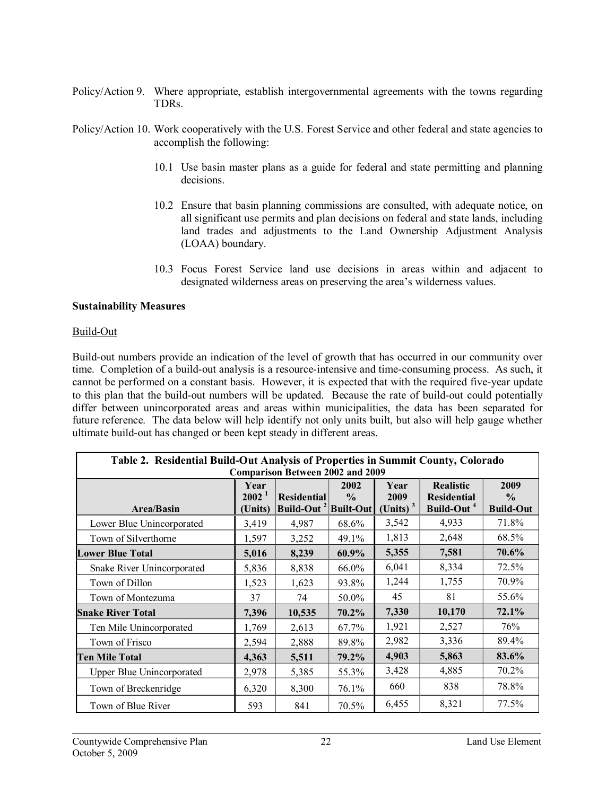- Policy/Action 9. Where appropriate, establish intergovernmental agreements with the towns regarding TDRs.
- Policy/Action 10. Work cooperatively with the U.S. Forest Service and other federal and state agencies to accomplish the following:
	- 10.1 Use basin master plans as a guide for federal and state permitting and planning decisions.
	- 10.2 Ensure that basin planning commissions are consulted, with adequate notice, on all significant use permits and plan decisions on federal and state lands, including land trades and adjustments to the Land Ownership Adjustment Analysis (LOAA) boundary.
	- 10.3 Focus Forest Service land use decisions in areas within and adjacent to designated wilderness areas on preserving the area's wilderness values.

#### **Sustainability Measures**

#### Build-Out

Build-out numbers provide an indication of the level of growth that has occurred in our community over time. Completion of a build-out analysis is a resource-intensive and time-consuming process. As such, it cannot be performed on a constant basis. However, it is expected that with the required five-year update to this plan that the build-out numbers will be updated. Because the rate of build-out could potentially differ between unincorporated areas and areas within municipalities, the data has been separated for future reference. The data below will help identify not only units built, but also will help gauge whether ultimate build-out has changed or been kept steady in different areas.

| Table 2. Residential Build-Out Analysis of Properties in Summit County, Colorado                                                                                                                                                                                                                                                        |       |        |       |       |        |          |  |
|-----------------------------------------------------------------------------------------------------------------------------------------------------------------------------------------------------------------------------------------------------------------------------------------------------------------------------------------|-------|--------|-------|-------|--------|----------|--|
| <b>Comparison Between 2002 and 2009</b><br>2009<br>Year<br>2002<br><b>Realistic</b><br>Year<br>2002 <sup>1</sup><br><b>Residential</b><br>2009<br>$\frac{0}{0}$<br>$\frac{6}{9}$<br><b>Residential</b><br>(Units) $3$<br>Build-Out <sup>2</sup> Built-Out<br>Build-Out <sup>4</sup><br><b>Build-Out</b><br><b>Area/Basin</b><br>(Units) |       |        |       |       |        |          |  |
| Lower Blue Unincorporated                                                                                                                                                                                                                                                                                                               | 3,419 | 4,987  | 68.6% | 3,542 | 4,933  | 71.8%    |  |
| Town of Silverthorne                                                                                                                                                                                                                                                                                                                    | 1,597 | 3,252  | 49.1% | 1,813 | 2,648  | 68.5%    |  |
| <b>Lower Blue Total</b>                                                                                                                                                                                                                                                                                                                 | 5,016 | 8,239  | 60.9% | 5,355 | 7,581  | 70.6%    |  |
| Snake River Unincorporated                                                                                                                                                                                                                                                                                                              | 5,836 | 8,838  | 66.0% | 6,041 | 8,334  | 72.5%    |  |
| Town of Dillon                                                                                                                                                                                                                                                                                                                          | 1,523 | 1,623  | 93.8% | 1,244 | 1,755  | 70.9%    |  |
| Town of Montezuma                                                                                                                                                                                                                                                                                                                       | 37    | 74     | 50.0% | 45    | 81     | 55.6%    |  |
| <b>Snake River Total</b>                                                                                                                                                                                                                                                                                                                | 7,396 | 10,535 | 70.2% | 7,330 | 10,170 | 72.1%    |  |
| Ten Mile Unincorporated                                                                                                                                                                                                                                                                                                                 | 1,769 | 2,613  | 67.7% | 1,921 | 2,527  | 76%      |  |
| Town of Frisco                                                                                                                                                                                                                                                                                                                          | 2,594 | 2,888  | 89.8% | 2,982 | 3,336  | 89.4%    |  |
| <b>Ten Mile Total</b>                                                                                                                                                                                                                                                                                                                   | 4,363 | 5,511  | 79.2% | 4,903 | 5,863  | 83.6%    |  |
| Upper Blue Unincorporated                                                                                                                                                                                                                                                                                                               | 2,978 | 5,385  | 55.3% | 3,428 | 4,885  | 70.2%    |  |
| Town of Breckenridge                                                                                                                                                                                                                                                                                                                    | 6,320 | 8,300  | 76.1% | 660   | 838    | 78.8%    |  |
| Town of Blue River                                                                                                                                                                                                                                                                                                                      | 593   | 841    | 70.5% | 6,455 | 8,321  | $77.5\%$ |  |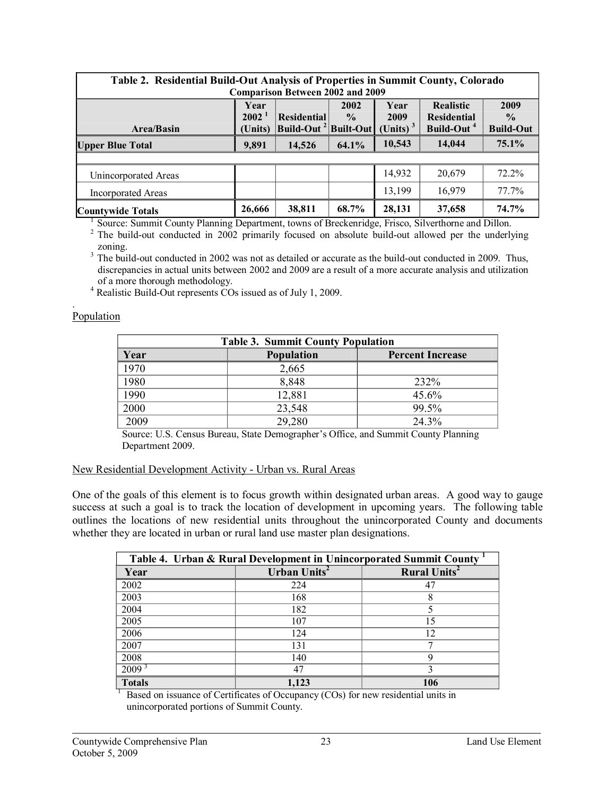| Table 2. Residential Build-Out Analysis of Properties in Summit County, Colorado<br><b>Comparison Between 2002 and 2009</b>                                                                                                                                                                       |        |        |       |        |        |       |
|---------------------------------------------------------------------------------------------------------------------------------------------------------------------------------------------------------------------------------------------------------------------------------------------------|--------|--------|-------|--------|--------|-------|
| 2009<br><b>Realistic</b><br>2002<br>Year<br>Year<br>2002 <sup>1</sup><br><b>Residential</b><br>$\frac{0}{0}$<br>2009<br><b>Residential</b><br>$\frac{0}{0}$<br>(Units) $3$<br>(Units) $\vert$ Build-Out <sup>2</sup> Built-Out<br>Build-Out <sup>4</sup><br><b>Build-Out</b><br><b>Area/Basin</b> |        |        |       |        |        |       |
| <b>Upper Blue Total</b>                                                                                                                                                                                                                                                                           | 9,891  | 14,526 | 64.1% | 10,543 | 14,044 | 75.1% |
|                                                                                                                                                                                                                                                                                                   |        |        |       |        |        |       |
| Unincorporated Areas                                                                                                                                                                                                                                                                              |        |        |       | 14,932 | 20,679 | 72.2% |
| <b>Incorporated Areas</b>                                                                                                                                                                                                                                                                         |        |        |       | 13,199 | 16,979 | 77.7% |
| <b>Countywide Totals</b>                                                                                                                                                                                                                                                                          | 26,666 | 38,811 | 68.7% | 28,131 | 37,658 | 74.7% |

<sup>1</sup> Source: Summit County Planning Department, towns of Breckenridge, Frisco, Silverthorne and Dillon. <sup>2</sup> The build-out conducted in 2002 primarily focused on absolute build-out allowed per the underlying zoning.

 $3 \text{ The build-out conducted in } 2002 \text{ was not as detailed or accurate as the build-out conducted in } 2009.$  Thus, discrepancies in actual units between 2002 and 2009 are a result of a more accurate analysis and utilization of a more thorough methodology.<br><sup>4</sup> Realistic Build-Out represents COs issued as of July 1, 2009.

#### .Population

| <b>Table 3. Summit County Population</b> |                                                     |                         |  |  |  |  |
|------------------------------------------|-----------------------------------------------------|-------------------------|--|--|--|--|
| Year                                     | <b>Population</b>                                   | <b>Percent Increase</b> |  |  |  |  |
| 1970                                     | 2,665                                               |                         |  |  |  |  |
| 1980                                     | 8,848                                               | 232%                    |  |  |  |  |
| 1990                                     | 12,881                                              | 45.6%                   |  |  |  |  |
| 2000                                     | 23,548                                              | 99.5%                   |  |  |  |  |
| 2009                                     | 29,280                                              | 24 3%                   |  |  |  |  |
| $\sim$ $\sim$<br>$- - -$<br>$\sim$       | $\sim$ $\sim$ $\sim$ $\sim$<br>$\sim$ $\sim$ $\sim$ | $\sim$                  |  |  |  |  |

Source: U.S. Census Bureau, State Demographer's Office, and Summit County Planning Department 2009.

#### New Residential Development Activity - Urban vs. Rural Areas

One of the goals of this element is to focus growth within designated urban areas. A good way to gauge success at such a goal is to track the location of development in upcoming years. The following table outlines the locations of new residential units throughout the unincorporated County and documents whether they are located in urban or rural land use master plan designations.

| Table 4. Urban & Rural Development in Unincorporated Summit County |                          |                                |  |  |  |  |
|--------------------------------------------------------------------|--------------------------|--------------------------------|--|--|--|--|
| Year                                                               | Urban Units <sup>2</sup> | <b>Rural Units<sup>2</sup></b> |  |  |  |  |
| 2002                                                               | 224                      | 47                             |  |  |  |  |
| 2003                                                               | 168                      |                                |  |  |  |  |
| 2004                                                               | 182                      |                                |  |  |  |  |
| 2005                                                               | 107                      | 15                             |  |  |  |  |
| 2006                                                               | 124                      | 12.                            |  |  |  |  |
| 2007                                                               | 131                      |                                |  |  |  |  |
| 2008                                                               | 140                      |                                |  |  |  |  |
| $2009^{3}$                                                         | 47                       |                                |  |  |  |  |
| <b>Totals</b>                                                      | 1.123                    | 106                            |  |  |  |  |

 $\frac{1}{1}$  Based on issuance of Certificates of Occupancy (COs) for new residential units in unincorporated portions of Summit County.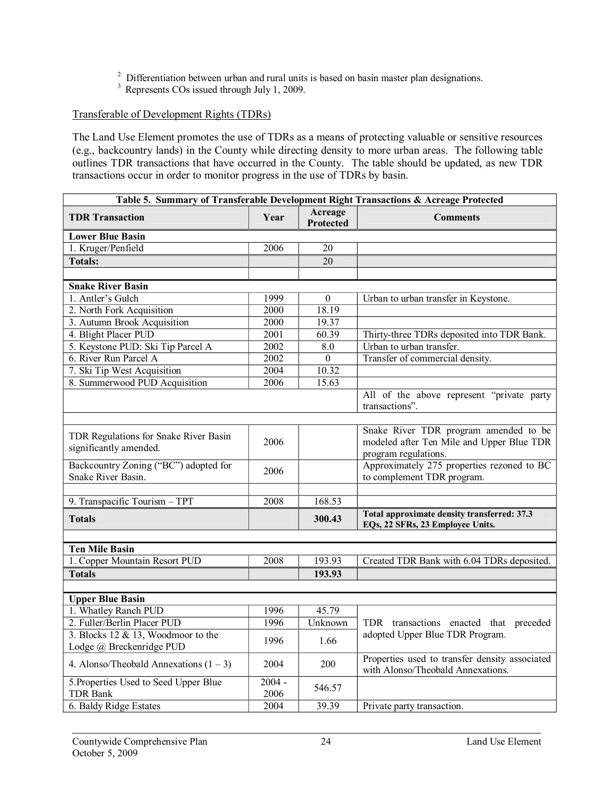<sup>2</sup> Differentiation between urban and rural units is based on basin master plan designations.<br><sup>3</sup> Represents COs issued through July 1, 2009.

# Transferable of Development Rights (TDRs)

The Land Use Element promotes the use of TDRs as a means of protecting valuable or sensitive resources (e.g., backcountry lands) in the County while directing density to more urban areas. The following table outlines TDR transactions that have occurred in the County. The table should be updated, as new TDR transactions occur in order to monitor progress in the use of TDRs by basin.

| Table 5. Summary of Transferable Development Right Transactions & Acreage Protected |                   |                             |                                                                                                            |  |  |
|-------------------------------------------------------------------------------------|-------------------|-----------------------------|------------------------------------------------------------------------------------------------------------|--|--|
| <b>TDR Transaction</b>                                                              | Year              | Acreage<br><b>Protected</b> | <b>Comments</b>                                                                                            |  |  |
| <b>Lower Blue Basin</b>                                                             |                   |                             |                                                                                                            |  |  |
| 1. Kruger/Penfield                                                                  | 2006              | 20                          |                                                                                                            |  |  |
| <b>Totals:</b>                                                                      |                   | 20                          |                                                                                                            |  |  |
| <b>Snake River Basin</b>                                                            |                   |                             |                                                                                                            |  |  |
| 1. Antler's Gulch                                                                   | 1999              | $\theta$                    | Urban to urban transfer in Keystone.                                                                       |  |  |
| 2. North Fork Acquisition                                                           | 2000              | 18.19                       |                                                                                                            |  |  |
| 3. Autumn Brook Acquisition                                                         | 2000              | 19.37                       |                                                                                                            |  |  |
| 4. Blight Placer PUD                                                                | $\overline{2001}$ | 60.39                       | Thirty-three TDRs deposited into TDR Bank.                                                                 |  |  |
| 5. Keystone PUD: Ski Tip Parcel A                                                   | 2002              | 8.0                         | Urban to urban transfer.                                                                                   |  |  |
| 6. River Run Parcel A                                                               | 2002              | $\overline{0}$              | Transfer of commercial density.                                                                            |  |  |
| 7. Ski Tip West Acquisition                                                         | 2004              | 10.32                       |                                                                                                            |  |  |
| 8. Summerwood PUD Acquisition                                                       | 2006              | 15.63                       |                                                                                                            |  |  |
|                                                                                     |                   |                             | All of the above represent "private party<br>transactions".                                                |  |  |
| TDR Regulations for Snake River Basin<br>significantly amended.                     | 2006              |                             | Snake River TDR program amended to be<br>modeled after Ten Mile and Upper Blue TDR<br>program regulations. |  |  |
| Backcountry Zoning ("BC") adopted for<br>Snake River Basin.                         | 2006              |                             | Approximately 275 properties rezoned to BC<br>to complement TDR program.                                   |  |  |
| 9. Transpacific Tourism - TPT                                                       | 2008              | 168.53                      |                                                                                                            |  |  |
| <b>Totals</b>                                                                       |                   | 300.43                      | Total approximate density transferred: 37.3<br>EQs, 22 SFRs, 23 Employee Units.                            |  |  |
| <b>Ten Mile Basin</b>                                                               |                   |                             |                                                                                                            |  |  |
| 1. Copper Mountain Resort PUD                                                       | 2008              | 193.93                      | Created TDR Bank with 6.04 TDRs deposited.                                                                 |  |  |
| <b>Totals</b>                                                                       |                   | 193.93                      |                                                                                                            |  |  |
|                                                                                     |                   |                             |                                                                                                            |  |  |
| <b>Upper Blue Basin</b>                                                             |                   |                             |                                                                                                            |  |  |
| 1. Whatley Ranch PUD                                                                | 1996              | 45.79                       |                                                                                                            |  |  |
| 2. Fuller/Berlin Placer PUD                                                         | 1996              | Unknown                     | TDR transactions enacted that preceded                                                                     |  |  |
| 3. Blocks $12 \& 13$ , Woodmoor to the<br>Lodge @ Breckenridge PUD                  | 1996              | 1.66                        | adopted Upper Blue TDR Program.                                                                            |  |  |
| 4. Alonso/Theobald Annexations $(1 – 3)$                                            | 2004              | 200                         | Properties used to transfer density associated<br>with Alonso/Theobald Annexations.                        |  |  |
| 5. Properties Used to Seed Upper Blue<br><b>TDR Bank</b>                            | $2004 -$<br>2006  | 546.57                      |                                                                                                            |  |  |
| 6. Baldy Ridge Estates                                                              | 2004              | 39.39                       | Private party transaction.                                                                                 |  |  |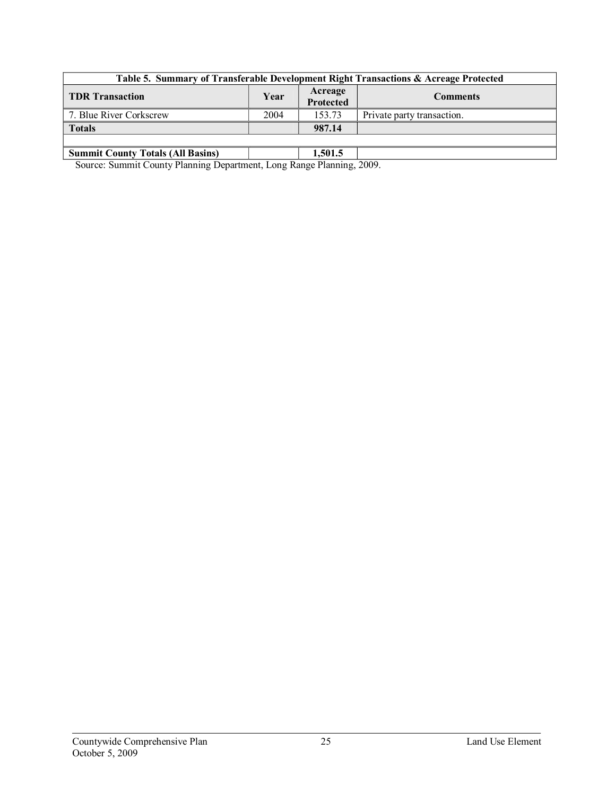| Table 5. Summary of Transferable Development Right Transactions & Acreage Protected |      |                      |                            |  |  |  |
|-------------------------------------------------------------------------------------|------|----------------------|----------------------------|--|--|--|
| <b>TDR Transaction</b>                                                              | Year | Acreage<br>Protected | <b>Comments</b>            |  |  |  |
| 7. Blue River Corkscrew                                                             | 2004 | 153.73               | Private party transaction. |  |  |  |
| <b>Totals</b>                                                                       |      | 987.14               |                            |  |  |  |
|                                                                                     |      |                      |                            |  |  |  |
| <b>Summit County Totals (All Basins)</b>                                            |      | 1.501.5              |                            |  |  |  |

Source: Summit County Planning Department, Long Range Planning, 2009.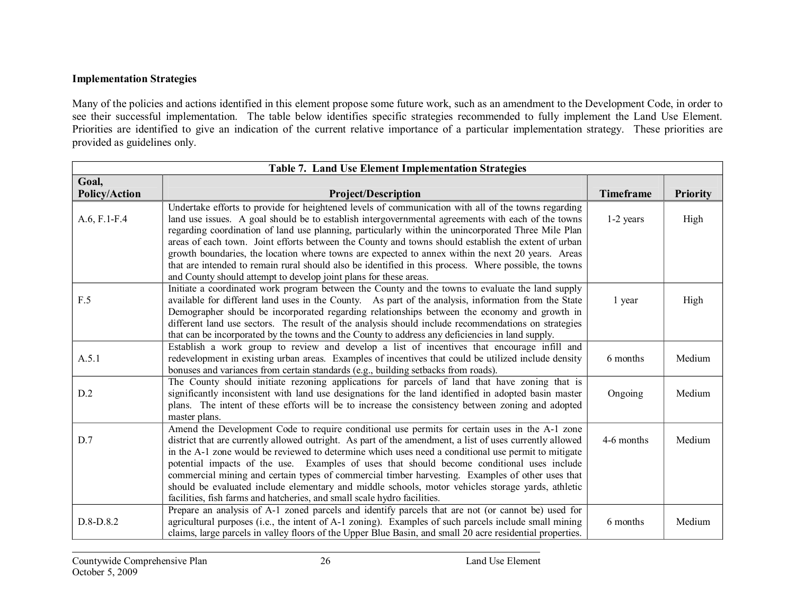# **Implementation Strategies**

Many of the policies and actions identified in this element propose some future work, such as an amendment to the Development Code, in order to see their successful implementation. The table below identifies specific strategies recommended to fully implement the Land Use Element. Priorities are identified to give an indication of the current relative importance of a particular implementation strategy. These priorities are provided as guidelines only.

| Table 7. Land Use Element Implementation Strategies |                                                                                                                                                                                                                                                                                                                                                                                                                                                                                                                                                                                                                                                                                                             |                  |                 |  |  |  |
|-----------------------------------------------------|-------------------------------------------------------------------------------------------------------------------------------------------------------------------------------------------------------------------------------------------------------------------------------------------------------------------------------------------------------------------------------------------------------------------------------------------------------------------------------------------------------------------------------------------------------------------------------------------------------------------------------------------------------------------------------------------------------------|------------------|-----------------|--|--|--|
| Goal,<br><b>Policy/Action</b>                       | <b>Project/Description</b>                                                                                                                                                                                                                                                                                                                                                                                                                                                                                                                                                                                                                                                                                  | <b>Timeframe</b> | <b>Priority</b> |  |  |  |
| $A.6, F.1-F.4$                                      | Undertake efforts to provide for heightened levels of communication with all of the towns regarding<br>land use issues. A goal should be to establish intergovernmental agreements with each of the towns<br>regarding coordination of land use planning, particularly within the unincorporated Three Mile Plan<br>areas of each town. Joint efforts between the County and towns should establish the extent of urban<br>growth boundaries, the location where towns are expected to annex within the next 20 years. Areas<br>that are intended to remain rural should also be identified in this process. Where possible, the towns<br>and County should attempt to develop joint plans for these areas. | $1-2$ years      | High            |  |  |  |
| F.5                                                 | Initiate a coordinated work program between the County and the towns to evaluate the land supply<br>available for different land uses in the County. As part of the analysis, information from the State<br>Demographer should be incorporated regarding relationships between the economy and growth in<br>different land use sectors. The result of the analysis should include recommendations on strategies<br>that can be incorporated by the towns and the County to address any deficiencies in land supply.                                                                                                                                                                                         | 1 year           | High            |  |  |  |
| A.5.1                                               | Establish a work group to review and develop a list of incentives that encourage infill and<br>redevelopment in existing urban areas. Examples of incentives that could be utilized include density<br>bonuses and variances from certain standards (e.g., building setbacks from roads).                                                                                                                                                                                                                                                                                                                                                                                                                   | 6 months         | Medium          |  |  |  |
| D.2                                                 | The County should initiate rezoning applications for parcels of land that have zoning that is<br>significantly inconsistent with land use designations for the land identified in adopted basin master<br>plans. The intent of these efforts will be to increase the consistency between zoning and adopted<br>master plans.                                                                                                                                                                                                                                                                                                                                                                                | Ongoing          | Medium          |  |  |  |
| D.7                                                 | Amend the Development Code to require conditional use permits for certain uses in the A-1 zone<br>district that are currently allowed outright. As part of the amendment, a list of uses currently allowed<br>in the A-1 zone would be reviewed to determine which uses need a conditional use permit to mitigate<br>potential impacts of the use. Examples of uses that should become conditional uses include<br>commercial mining and certain types of commercial timber harvesting. Examples of other uses that<br>should be evaluated include elementary and middle schools, motor vehicles storage yards, athletic<br>facilities, fish farms and hatcheries, and small scale hydro facilities.        | 4-6 months       | Medium          |  |  |  |
| D.8-D.8.2                                           | Prepare an analysis of A-1 zoned parcels and identify parcels that are not (or cannot be) used for<br>agricultural purposes (i.e., the intent of A-1 zoning). Examples of such parcels include small mining<br>claims, large parcels in valley floors of the Upper Blue Basin, and small 20 acre residential properties.                                                                                                                                                                                                                                                                                                                                                                                    | 6 months         | Medium          |  |  |  |